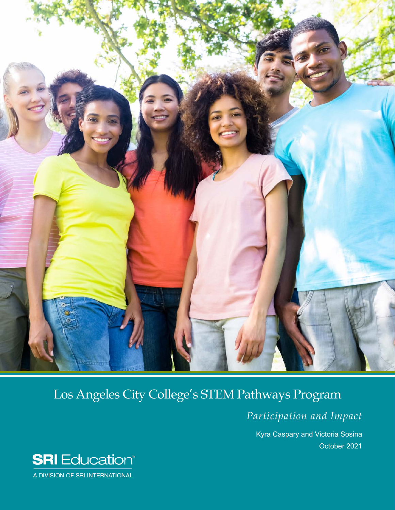

# Los Angeles City College's STEM Pathways Program

*Participation and Impact*

Kyra Caspary and Victoria Sosina October 2021



A DIVISION OF SRI INTERNATIONAL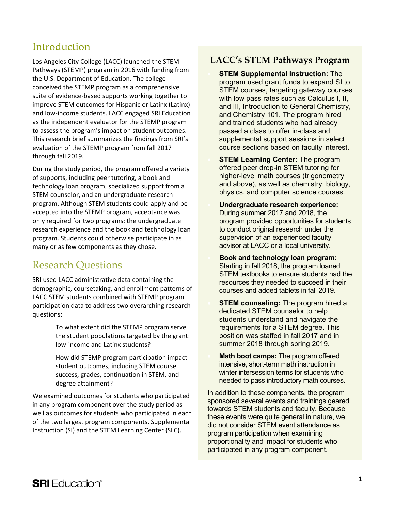### Introduction

Los Angeles City College (LACC) launched the STEM Pathways (STEMP) program in 2016 with funding from the U.S. Department of Education. The college conceived the STEMP program as a comprehensive suite of evidence-based supports working together to improve STEM outcomes for Hispanic or Latinx (Latinx) and low-income students. LACC engaged SRI Education as the independent evaluator for the STEMP program to assess the program's impact on student outcomes. This research brief summarizes the findings from SRI's evaluation of the STEMP program from fall 2017 through fall 2019.

During the study period, the program offered a variety of supports, including peer tutoring, a book and technology loan program, specialized support from a STEM counselor, and an undergraduate research program. Although STEM students could apply and be accepted into the STEMP program, acceptance was only required for two programs: the undergraduate research experience and the book and technology loan program. Students could otherwise participate in as many or as few components as they chose.

### Research Questions

SRI used LACC administrative data containing the demographic, coursetaking, and enrollment patterns of LACC STEM students combined with STEMP program participation data to address two overarching research questions:

> • To what extent did the STEMP program serve the student populations targeted by the grant: low-income and Latinx students?

• How did STEMP program participation impact student outcomes, including STEM course success, grades, continuation in STEM, and degree attainment?

We examined outcomes for students who participated in any program component over the study period as well as outcomes for students who participated in each of the two largest program components, Supplemental Instruction (SI) and the STEM Learning Center (SLC).

#### **LACC's STEM Pathways Program**

• **STEM Supplemental Instruction:** The program used grant funds to expand SI to STEM courses, targeting gateway courses with low pass rates such as Calculus I, II, and III, Introduction to General Chemistry, and Chemistry 101. The program hired and trained students who had already passed a class to offer in-class and supplemental support sessions in select course sections based on faculty interest.

• **STEM Learning Center:** The program offered peer drop-in STEM tutoring for higher-level math courses (trigonometry and above), as well as chemistry, biology, physics, and computer science courses.

• **Undergraduate research experience:** During summer 2017 and 2018, the program provided opportunities for students to conduct original research under the supervision of an experienced faculty advisor at LACC or a local university.

- **Book and technology loan program:** Starting in fall 2018, the program loaned STEM textbooks to ensure students had the resources they needed to succeed in their courses and added tablets in fall 2019.
- **STEM counseling:** The program hired a dedicated STEM counselor to help students understand and navigate the requirements for a STEM degree. This position was staffed in fall 2017 and in summer 2018 through spring 2019.
- **Math boot camps:** The program offered intensive, short-term math instruction in winter intersession terms for students who needed to pass introductory math courses.

In addition to these components, the program sponsored several events and trainings geared towards STEM students and faculty. Because these events were quite general in nature, we did not consider STEM event attendance as program participation when examining proportionality and impact for students who participated in any program component.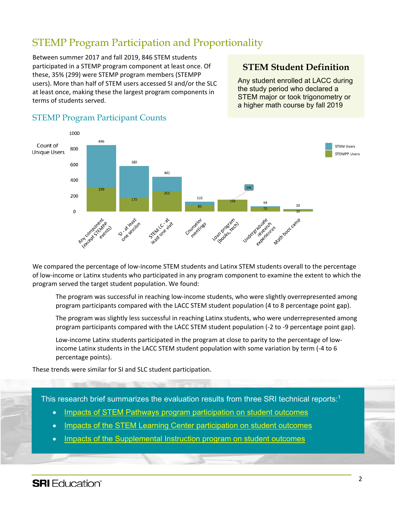### STEMP Program Participation and Proportionality

Between summer 2017 and fall 2019, 846 STEM students participated in a STEMP program component at least once. Of these, 35% (299) were STEMP program members (STEMPP users). More than half of STEM users accessed SI and/or the SLC at least once, making these the largest program components in terms of students served.

### **STEM Student Definition**

Any student enrolled at LACC during the study period who declared a **STEM major or took trigonometry or** a higher math course by fall 2019



#### STEMP Program Participant Counts

We compared the percentage of low-income STEM students and Latinx STEM students overall to the percentage of low-income or Latinx students who participated in any program component to examine the extent to which the program served the target student population. We found:

The program was successful in reaching low-income students, who were slightly overrepresented among program participants compared with the LACC STEM student population (4 to 8 percentage point gap).

• The program was slightly less successful in reaching Latinx students, who were underrepresented among program participants compared with the LACC STEM student population (-2 to -9 percentage point gap).

• Low-income Latinx students participated in the program at close to parity to the percentage of lowincome Latinx students in the LACC STEM student population with some variation by term (-4 to 6 percentage points).

These trends were similar for SI and SLC student participation.

This research brief summarizes the evaluation results from three SRI technical reports:1

- Impacts of STEM Pathways program [participation](https://collegecareerpathways.org/publications/evaluation-of-los-angeles-city-colleges-stem-pathways-program-impacts-of-stem-pathways-program-participation-on-student-outcomes/) on student outcomes
- Impacts of the STEM Learning Center [participation](https://collegecareerpathways.org/publications/evaluation-of-los-angeles-city-colleges-stem-pathways-program-impacts-of-the-stem-learning-center-on-student-outcomes/) on student outcomes
- Impacts of the [Supplemental](https://collegecareerpathways.org/publications/evaluation-of-los-angeles-city-colleges-stem-pathways-program-impacts-of-the-supplemental-instruction-program-on-student-outcomes/) Instruction program on student outcomes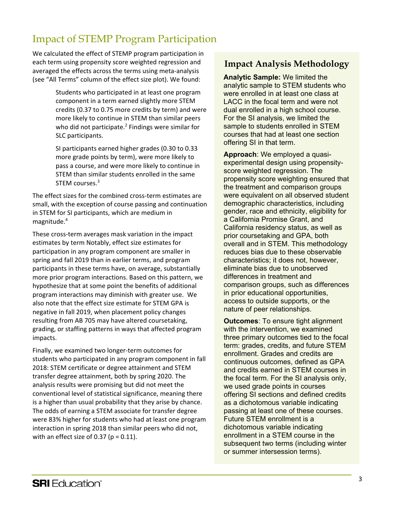## Impact of STEMP Program Participation

We calculated the effect of STEMP program participation in each term using propensity score weighted regression and averaged the effects across the terms using meta-analysis (see "All Terms" column of the effect size plot). We found:

> Students who participated in at least one program component in a term earned slightly more STEM credits (0.37 to 0.75 more credits by term) and were more likely to continue in STEM than similar peers who did not participate. <sup>2</sup> Findings were similar for SLC participants.

• SI participants earned higher grades (0.30 to 0.33 more grade points by term), were more likely to pass a course, and were more likely to continue in STEM than similar students enrolled in the same STEM courses.<sup>3</sup>

The effect sizes for the combined cross-term estimates are small, with the exception of course passing and continuation in STEM for SI participants, which are medium in magnitude.4

These cross-term averages mask variation in the impact estimates by term Notably, effect size estimates for participation in any program component are smaller in spring and fall 2019 than in earlier terms, and program participants in these terms have, on average, substantially more prior program interactions. Based on this pattern, we hypothesize that at some point the benefits of additional program interactions may diminish with greater use. We also note that the effect size estimate for STEM GPA is negative in fall 2019, when placement policy changes resulting from AB 705 may have altered coursetaking, grading, or staffing patterns in ways that affected program impacts.

Finally, we examined two longer-term outcomes for students who participated in any program component in fall 2018: STEM certificate or degree attainment and STEM transfer degree attainment, both by spring 2020. The analysis results were promising but did not meet the conventional level of statistical significance, meaning there is a higher than usual probability that they arise by chance. The odds of earning a STEM associate for transfer degree were 83% higher for students who had at least one program interaction in spring 2018 than similar peers who did not, with an effect size of 0.37 ( $p = 0.11$ ).

### **Impact Analysis Methodology**

**Analytic Sample:** We limited the analytic sample to STEM students who were enrolled in at least one class at LACC in the focal term and were not dual enrolled in a high school course. For the SI analysis, we limited the sample to students enrolled in STEM courses that had at least one section offering SI in that term.

**Approach**: We employed a quasiexperimental design using propensityscore weighted regression. The propensity score weighting ensured that the treatment and comparison groups were equivalent on all observed student demographic characteristics, including gender, race and ethnicity, eligibility for a California Promise Grant, and California residency status, as well as prior coursetaking and GPA, both overall and in STEM. This methodology reduces bias due to these observable characteristics; it does not, however, eliminate bias due to unobserved differences in treatment and comparison groups, such as differences in prior educational opportunities, access to outside supports, or the nature of peer relationships.

**Outcomes**: To ensure tight alignment with the intervention, we examined three primary outcomes tied to the focal term: grades, credits, and future STEM enrollment. Grades and credits are continuous outcomes, defined as GPA and credits earned in STEM courses in the focal term. For the SI analysis only, we used grade points in courses offering SI sections and defined credits as a dichotomous variable indicating passing at least one of these courses. Future STEM enrollment is a dichotomous variable indicating enrollment in a STEM course in the subsequent two terms (including winter or summer intersession terms).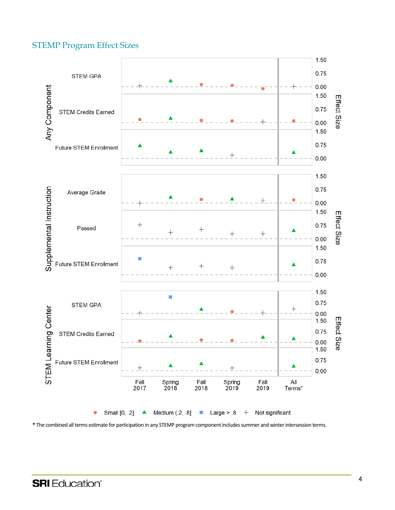#### STEMP Program Effect Sizes



**\*** The combined all terms estimate for participation in any STEMP program component includes summer and winter intersession terms.